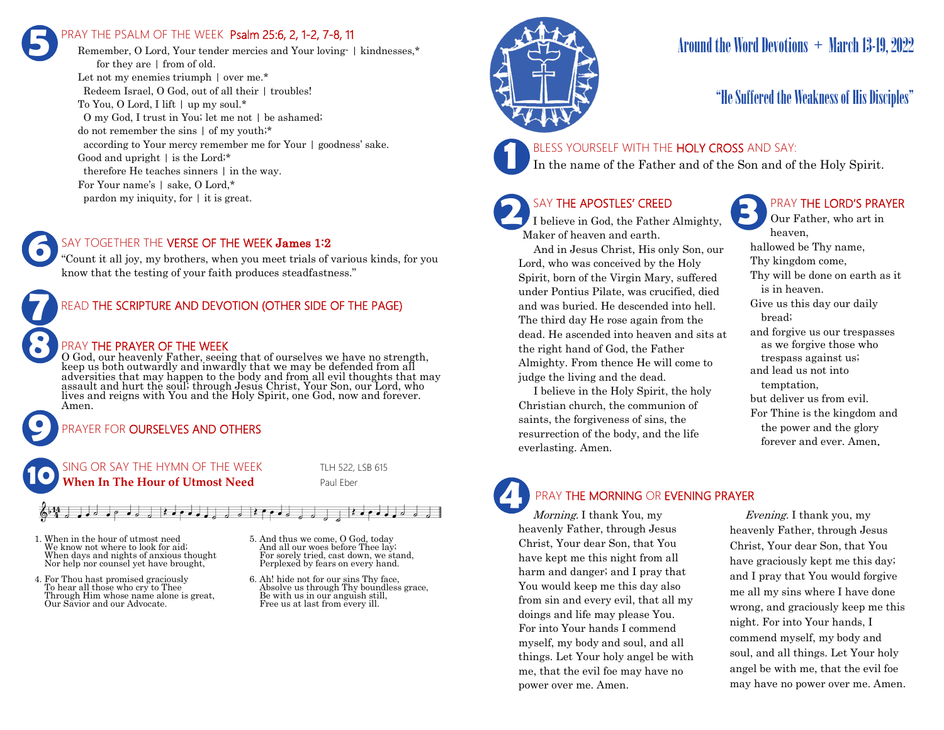## PRAY THE PSALM OF THE WEEK Psalm 25:6, 2, 1-2, 7-8, 11 **5**

Remember, O Lord, Your tender mercies and Your loving- | kindnesses,\* for they are | from of old. Let not my enemies triumph  $\vert$  over me.\* Redeem Israel, O God, out of all their | troubles! To You, O Lord, I lift | up my soul.\* O my God, I trust in You; let me not | be ashamed; do not remember the sins | of my youth;\* according to Your mercy remember me for Your | goodness' sake. Good and upright | is the Lord;\* therefore He teaches sinners | in the way. For Your name's | sake, O Lord,\* pardon my iniquity, for | it is great.

## SAY TOGETHER THE VERSE OF THE WEEK James 1:2

"Count it all joy, my brothers, when you meet trials of various kinds, for you know that the testing of your faith produces steadfastness."



## PRAY THE PRAYER OF THE WEEK

O God, our heavenly Father, seeing that of ourselves we have no strength, keep us both outwardly and inwardly that we may be defended from all adversities that may happen to the body and from all evil thoughts that may assault and hurt the soul; through Jesus Christ, Your Son, our Lord, who lives and reigns with You and the Holy Spirit, one God, now and forever. Amen.

## PRAYER FOR **OURSELVES AND OTHERS**



**9**

**8**

**6**

## $\mathbf{R}$

- 1. When in the hour of utmost need We know not where to look for aid; When days and nights of anxious thought Nor help nor counsel yet have brought,
- 4. For Thou hast promised graciously To hear all those who cry to Thee Through Him whose name alone is great, Our Savior and our Advocate.
- 5. And thus we come, O God, today And all our woes before Thee lay; For sorely tried, cast down, we stand, Perplexed by fears on every hand.
- 6. Ah! hide not for our sins Thy face, Absolve us through Thy boundless grace, Be with us in our anguish still, Free us at last from every ill.



## Around the Word Devotions  $+$  March 13-19, 2022

## "He Suffered the Weakness of His Disciples"

## BLESS YOURSELF WITH THE HOLY CROSS AND SAY:

In the name of the Father and of the Son and of the Holy Spirit.

## SAY THE APOSTLES' CREED

**2 SAY THE APOSTLES' CREED I** believe in God, the Father Almighty, Maker of heaven and earth.

 And in Jesus Christ, His only Son, our Lord, who was conceived by the Holy Spirit, born of the Virgin Mary, suffered under Pontius Pilate, was crucified, died and was buried. He descended into hell. The third day He rose again from the dead. He ascended into heaven and sits at the right hand of God, the Father Almighty. From thence He will come to judge the living and the dead.

 I believe in the Holy Spirit, the holy Christian church, the communion of saints, the forgiveness of sins, the resurrection of the body, and the life everlasting. Amen.

## PRAY THE LORD'S PRAYER

Our Father, who art in heaven, hallowed be Thy name, Thy kingdom come, Thy will be done on earth as it is in heaven. Give us this day our daily bread; and forgive us our trespasses as we forgive those who trespass against us; and lead us not into temptation, but deliver us from evil. For Thine is the kingdom and the power and the glory forever and ever. Amen.

# **4**

## PRAY THE MORNING OR EVENING PRAYER

Morning. I thank You, my heavenly Father, through Jesus Christ, Your dear Son, that You have kept me this night from all harm and danger; and I pray that You would keep me this day also from sin and every evil, that all my doings and life may please You. For into Your hands I commend myself, my body and soul, and all things. Let Your holy angel be with me, that the evil foe may have no power over me. Amen.

 Evening. I thank you, my heavenly Father, through Jesus Christ, Your dear Son, that You have graciously kept me this day; and I pray that You would forgive me all my sins where I have done wrong, and graciously keep me this night. For into Your hands, I commend myself, my body and soul, and all things. Let Your holy angel be with me, that the evil foe may have no power over me. Amen.